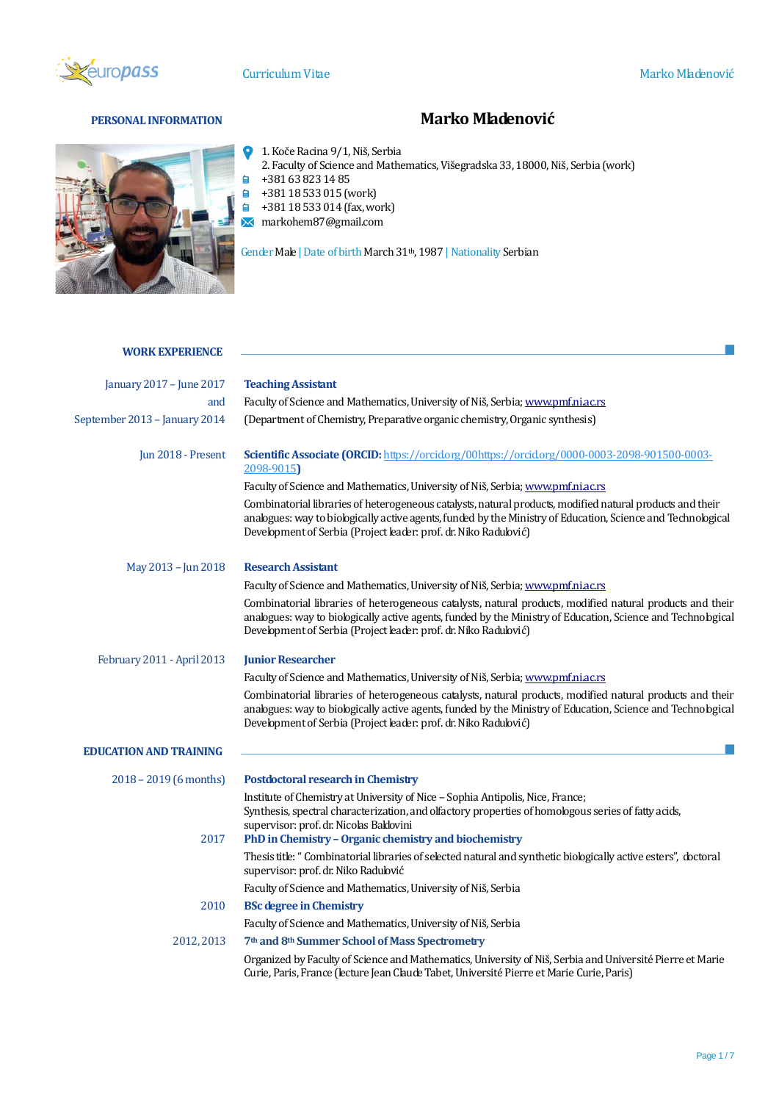

 $\bullet$ 

 $\blacksquare$ 

P.

# **PERSONAL INFORMATION Marko Mladenović**



- 1. Koče Racina 9/1, Niš, Serbia
- 2. Faculty of Science and Mathematics, Višegradska 33, 18000, Niš, Serbia (work)
- +381 63 823 14 85
- +381 18 533 015 (work)
- +381 18 533 014 (fax, work)
- markohem87@gmail.com

Gender Male | Date of birth March 31<sup>th</sup>, 1987 | Nationality Serbian

# **WORK EXPERIENCE**

| January 2017 - June 2017      | <b>Teaching Assistant</b>                                                                                                                                                                                                                                                                   |  |  |
|-------------------------------|---------------------------------------------------------------------------------------------------------------------------------------------------------------------------------------------------------------------------------------------------------------------------------------------|--|--|
| and                           | Faculty of Science and Mathematics, University of Niš, Serbia; www.pmf.ni.ac.rs                                                                                                                                                                                                             |  |  |
| September 2013 - January 2014 | (Department of Chemistry, Preparative organic chemistry, Organic synthesis)                                                                                                                                                                                                                 |  |  |
| Jun 2018 - Present            | Scientific Associate (ORCID: https://orcidorg/00https://orcidorg/0000-0003-2098-901500-0003-<br>2098-9015)                                                                                                                                                                                  |  |  |
|                               | Faculty of Science and Mathematics, University of Niš, Serbia; www.pmf.ni.ac.rs                                                                                                                                                                                                             |  |  |
|                               | Combinatorial libraries of heterogeneous catalysts, natural products, modified natural products and their<br>anabgues: way to biobgically active agents, funded by the Ministry of Education, Science and Technobgical<br>Development of Serbia (Project leader: prof. dr. Niko Radulović)  |  |  |
| May 2013 - Jun 2018           | <b>Research Assistant</b>                                                                                                                                                                                                                                                                   |  |  |
|                               | Faculty of Science and Mathematics, University of Niš, Serbia; www.pmf.ni.ac.rs                                                                                                                                                                                                             |  |  |
|                               | Combinatorial libraries of heterogeneous catalysts, natural products, modified natural products and their<br>anabgues: way to biobgically active agents, funded by the Ministry of Education, Science and Technological<br>Development of Serbia (Project leader: prof. dr. Niko Radulović) |  |  |
| February 2011 - April 2013    | <b>Junior Researcher</b>                                                                                                                                                                                                                                                                    |  |  |
|                               | Faculty of Science and Mathematics, University of Niš, Serbia; www.pmf.ni.ac.rs                                                                                                                                                                                                             |  |  |
|                               | Combinatorial libraries of heterogeneous catalysts, natural products, modified natural products and their<br>anabgues: way to biobgically active agents, funded by the Ministry of Education, Science and Technological<br>Development of Serbia (Project leader: prof. dr. Niko Radulović) |  |  |
| <b>EDUCATION AND TRAINING</b> |                                                                                                                                                                                                                                                                                             |  |  |
| $2018 - 2019$ (6 months)      | <b>Postdoctoral research in Chemistry</b>                                                                                                                                                                                                                                                   |  |  |
| 2017                          | Institute of Chemistry at University of Nice - Sophia Antipolis, Nice, France;<br>Synthesis, spectral characterization, and olfactory properties of homologous series of fatty acids,<br>supervisor: prof. dr. Nicolas Baldovini<br>PhD in Chemistry - Organic chemistry and biochemistry   |  |  |
|                               | Thesis title: "Combinatorial libraries of selected natural and synthetic biologically active esters", doctoral<br>supervisor: prof. dr. Niko Radubvić                                                                                                                                       |  |  |
|                               | Faculty of Science and Mathematics, University of Niš, Serbia                                                                                                                                                                                                                               |  |  |
| 2010                          | <b>BSc degree in Chemistry</b>                                                                                                                                                                                                                                                              |  |  |
|                               | Faculty of Science and Mathematics, University of Niš, Serbia                                                                                                                                                                                                                               |  |  |
| 2012, 2013                    | 7th and 8th Summer School of Mass Spectrometry                                                                                                                                                                                                                                              |  |  |
|                               | Organized by Faculty of Science and Mathematics, University of Niš, Serbia and Université Pierre et Marie<br>Curie, Paris, France (lecture Jean Claude Tabet, Université Pierre et Marie Curie, Paris)                                                                                      |  |  |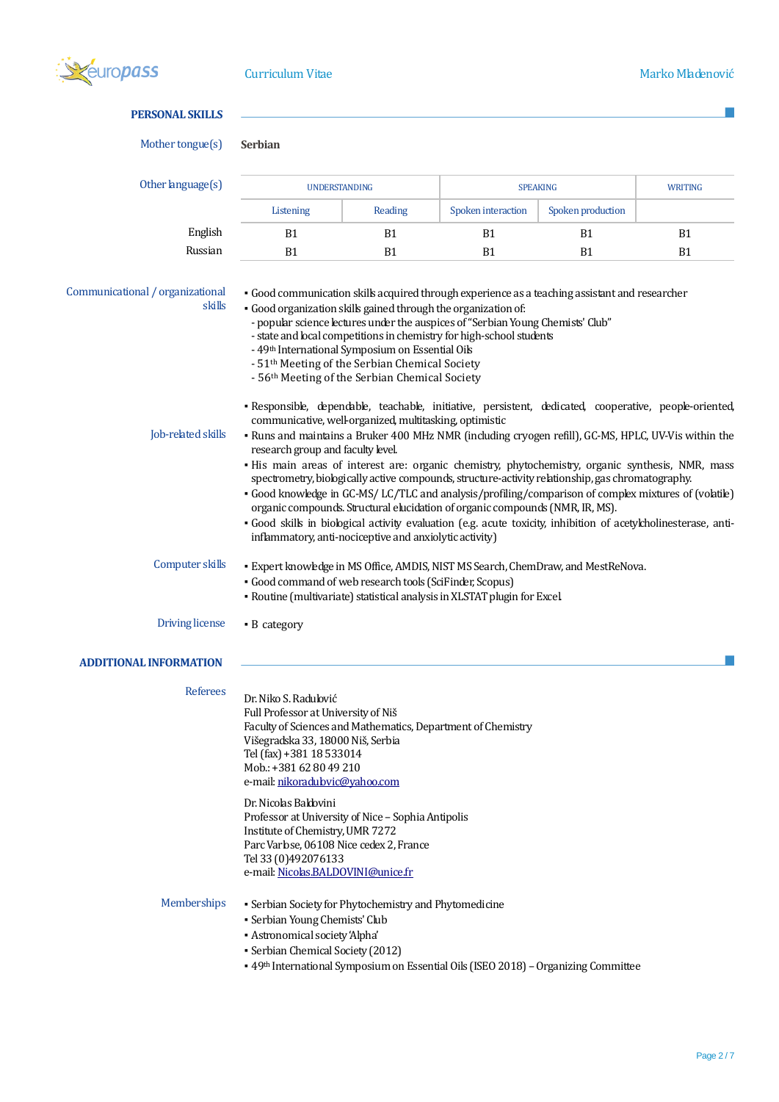

# **PERSONAL SKILLS**

```
Mother tongue(s) Serbian
```

| Other language(s) | <b>UNDERSTANDING</b> |                | <b>SPEAKING</b>    |                   | <b>WRITING</b> |
|-------------------|----------------------|----------------|--------------------|-------------------|----------------|
|                   | Listening            | Reading        | Spoken interaction | Spoken production |                |
| English           | B1                   | B1             | B1                 | B1                | B1             |
| Russian           | B <sub>1</sub>       | B <sub>1</sub> | B <sub>1</sub>     | B1                | B1             |

Communicational / organizational skills

- Good communication skills acquired through experience as a teaching assistant and researcher
- Good organization skills gained through the organization of:
- popular science lectures under the auspices of "Serbian Young Chemists' Club"
- state and local competitions in chemistry for high-school students
- 49th International Symposium on Essential Oils
- 51th Meeting of the Serbian Chemical Society
- 56th Meeting of the Serbian Chemical Society
- · Responsible, dependable, teachable, initiative, persistent, dedicated, cooperative, people-oriented, communicative, well-organized, multitasking, optimistic

- Job-related skills Runs and maintains a Bruker 400 MHz NMR (including cryogen refill), GC-MS, HPLC, UV-Vis within the research group and faculty level.
	- His main areas of interest are: organic chemistry, phytochemistry, organic synthesis, NMR, mass spectrometry, biologically active compounds, structure-activity relationship, gas chromatography.
	- Good knowledge in GC-MS/ LC/TLC and analysis/profiling/comparison of complex mixtures of (volatile) organic compounds. Structural elucidation of organic compounds (NMR, IR, MS).
	- Good skills in biological activity evaluation (e.g. acute toxicity, inhibition of acetylcholinesterase, antiinflammatory, anti-nociceptive and anxiolytic activity)
- Computer skills Expert knowledge in MS Office, AMDIS, NIST MS Search, ChemDraw, and MestReNova.
	- Good command of web research tools (SciFinder, Scopus)
		- Routine (multivariate) statistical analysis in XLSTAT plugin for Excel.
- Driving license B category

# **ADDITIONAL INFORMATION**

| <b>Referees</b>    | Dr. Niko S. Radulović<br>Full Professor at University of Niš<br>Faculty of Sciences and Mathematics, Department of Chemistry<br>Višegradska 33, 18000 Niš, Serbia<br>Tel (fax) +381 18 533014<br>Mob.: +381 62 80 49 210<br>e-mail: nikoradubvic@yahoo.com        |
|--------------------|-------------------------------------------------------------------------------------------------------------------------------------------------------------------------------------------------------------------------------------------------------------------|
|                    | Dr. Nicolas Baldovini<br>Professor at University of Nice – Sophia Antipolis<br>Institute of Chemistry, UMR 7272<br>Parc Varlose, 06108 Nice cedex 2, France<br>Tel 33 (0)492076133<br>e-mail: Nicolas.BALDOVINI@unice.fr                                          |
| <b>Memberships</b> | • Serbian Society for Phytochemistry and Phytomedicine<br>• Serbian Young Chemists' Club<br>• Astronomical society 'Alpha'<br>• Serbian Chemical Society (2012)<br>• 49 <sup>th</sup> International Symposium on Essential Oik (ISEO 2018) – Organizing Committee |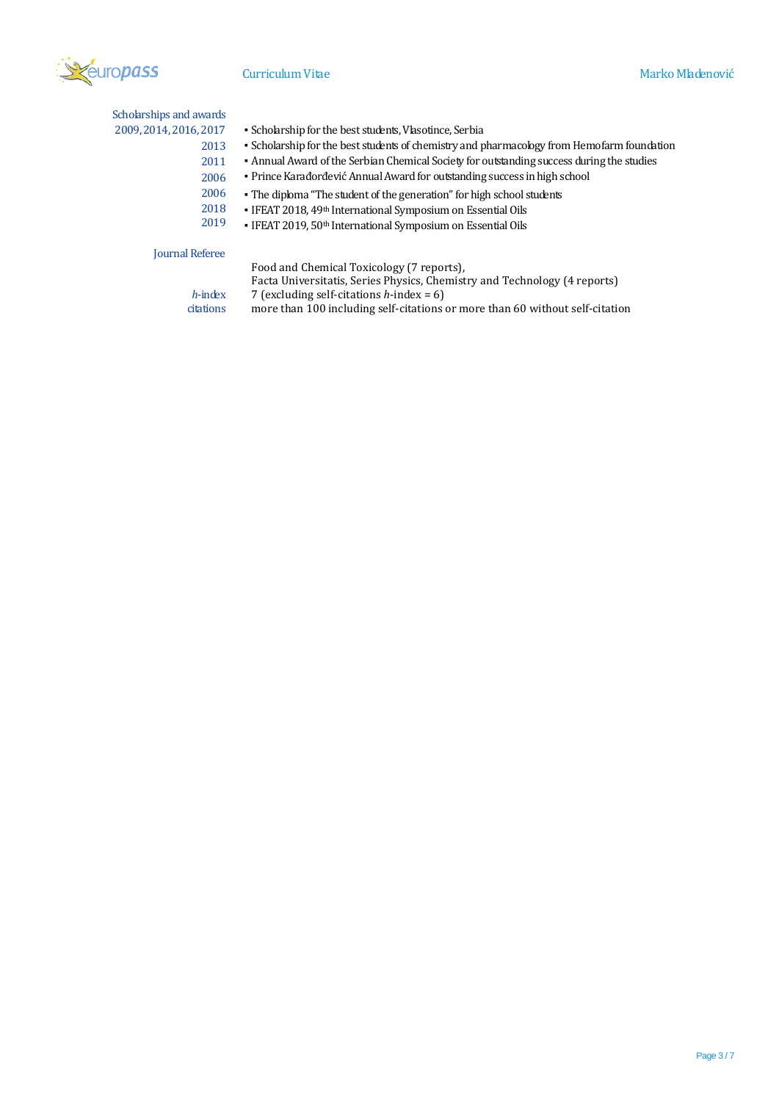

Scholarships and awards 2009, 2014, 2016, 2017

- Scholarship for the best students, Vlasotince, Serbia
- 2013 ▪ Scholarship for the best students of chemistry and pharmacology from Hemofarm foundation
- 2011 ▪ Annual Award of the Serbian Chemical Society for outstanding success during the studies
	- Prince Karađorđević Annual Award for outstanding success in high school
- 2006 • The diploma "The student of the generation" for high school students
- 2018 ▪ IFEAT 2018, 49th International Symposium on Essential Oils
- 2019 ▪ IFEAT 2019, 50th International Symposium on Essential Oils

#### Journal Referee

Food and Chemical Toxicology (7 reports),

Facta Universitatis, Series Physics, Chemistry and Technology (4 reports)

*h*-index 7 (excluding self-citations *h*-index = 6) citations more than 100 including self-citations more than 100 including self-citations or more than 60 without self-citation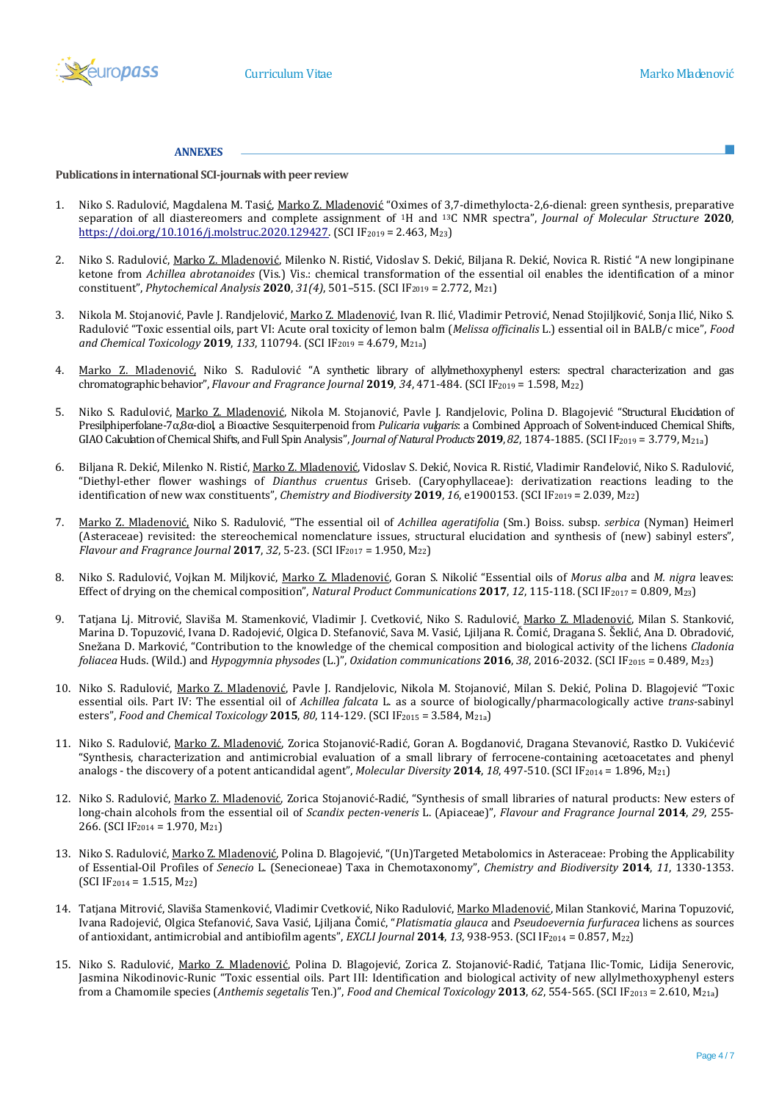

### **ANNEXES**

**Publications in international SCI-journals with peer review**

- 1. Niko S. Radulović, Magdalena M. Tasić, Marko Z. Mladenović "Oximes of 3,7-dimethylocta-2,6-dienal: green synthesis, preparative separation of all diastereomers and complete assignment of <sup>1</sup>H and 13C NMR spectra", *Journal of Molecular Structure* **2020**, <https://doi.org/10.1016/j.molstruc.2020.129427>. (SCI IF2019 = 2.463, M23)
- 2. Niko S. Radulović, Marko Z. Mladenović, Milenko N. Ristić, Vidoslav S. Dekić, Biljana R. Dekić, Novica R. Ristić "A new longipinane ketone from *Achillea abrotanoides* (Vis.) Vis.: chemical transformation of the essential oil enables the identification of a minor constituent", *Phytochemical Analysis* **2020**, 31(4), 501-515. (SCI IF<sub>2019</sub> = 2.772, M<sub>21</sub>)
- 3. Nikola M. Stojanović, Pavle J. Randjelović, Marko Z. Mladenović, Ivan R. Ilić, Vladimir Petrović, Nenad Stojiljković, Sonja Ilić, Niko S. Radulović "Toxic essential oils, part VI: Acute oral toxicity of lemon balm (*Melissa officinalis* L.) essential oil in BALB/c mice", *Food and Chemical Toxicology* **2019**, *133*, 110794. (SCI IF2019 = 4.679, M21a)
- 4. Marko Z. Mladenović, Niko S. Radulović "A synthetic library of allylmethoxyphenyl esters: spectral characterization and gas chromatographic behavior", *Flavour and Fragrance Journal* **2019**, *34*, 471-484. (SCI IF2019 = 1.598, M22)
- 5. Niko S. Radulović, Marko Z. Mladenović, Nikola M. Stojanović, Pavle J. Randjelovic, Polina D. Blagojević "Structural Elucidation of Presilphiperfolane-7α,8α-diol, a Bioactive Sesquiterpenoid from *Pulicaria vulgaris*: a Combined Approach of Solvent-induced Chemical Shifts, GIAO Calculation of Chemical Shifts, and Full Spin Analysis", *Journal of Natural Products* 2019, 82, 1874-1885. (SCI IF<sub>2019</sub> = 3.779, M<sub>21a</sub>)
- 6. Biljana R. Dekić, Milenko N. Ristić, Marko Z. Mladenović, Vidoslav S. Dekić, Novica R. Ristić, Vladimir Ranđelović, Niko S. Radulović, "Diethyl-ether flower washings of *Dianthus cruentus* Griseb. (Caryophyllaceae): derivatization reactions leading to the identification of new wax constituents", *Chemistry and Biodiversity* **2019**, *16*, e1900153. (SCI IF2019 = 2.039, M22)
- 7. Marko Z. Mladenović, Niko S. Radulović, "The essential oil of *Achillea ageratifolia* (Sm.) Boiss. subsp. *serbica* (Nyman) Heimerl (Asteraceae) revisited: the stereochemical nomenclature issues, structural elucidation and synthesis of (new) sabinyl esters", *Flavour and Fragrance Journal* **2017**, *32*, 5-23. (SCI IF<sup>2017</sup> = 1.950, M22)
- 8. Niko S. Radulović, Vojkan M. Miljković, Marko Z. Mladenović, Goran S. Nikolić "Essential oils of *Morus alba* and *M. nigra* leaves: Effect of drying on the chemical composition", *Natural Product Communications* **2017**, *12*, 115-118. (SCI IF<sup>2017</sup> = 0.809, M23)
- 9. Tatjana Lj. Mitrović, Slaviša M. Stamenković, Vladimir J. Cvetković, Niko S. Radulović, Marko Z. Mladenović, Milan S. Stanković, Marina D. Topuzović, Ivana D. Radojević, Olgica D. Stefanović, Sava M. Vasić, Ljiljana R. Čomić, Dragana S. Šeklić, Ana D. Obradović, Snežana D. Marković, "Contribution to the knowledge of the chemical composition and biological activity of the lichens *Cladonia foliacea* Huds. (Wild.) and *Hypogymnia physodes* (L.)", *Oxidation communications* **2016**, *38*, 2016-2032. (SCI IF<sup>2015</sup> = 0.489, M23)
- 10. Niko S. Radulović, Marko Z. Mladenović, Pavle J. Randjelovic, Nikola M. Stojanović, Milan S. Dekić, Polina D. Blagojević "Toxic essential oils. Part IV: The essential oil of *Achillea falcata* L. as a source of biologically/pharmacologically active *trans*-sabinyl esters", *Food and Chemical Toxicology* **2015**, *80*, 114-129. (SCI IF<sup>2015</sup> = 3.584, M21a)
- 11. Niko S. Radulović, Marko Z. Mladenović, Zorica Stojanović-Radić, Goran A. Bogdanović, Dragana Stevanović, Rastko D. Vukićević "Synthesis, characterization and antimicrobial evaluation of a small library of ferrocene-containing acetoacetates and phenyl analogs - the discovery of a potent anticandidal agent", *Molecular Diversity* 2014, 18, 497-510. (SCI IF<sub>2014</sub> = 1.896, M<sub>21</sub>)
- 12. Niko S. Radulović, Marko Z. Mladenović, Zorica Stojanović-Radić, "Synthesis of small libraries of natural products: New esters of long-chain alcohols from the essential oil of *Scandix pecten-veneris* L. (Apiaceae)", *Flavour and Fragrance Journal* **2014**, *29*, 255- 266. (SCI IF<sup>2014</sup> = 1.970, M21)
- 13. Niko S. Radulović, Marko Z. Mladenović, Polina D. Blagojević, "(Un)Targeted Metabolomics in Asteraceae: Probing the Applicability of Essential-Oil Profiles of *Senecio* L. (Senecioneae) Taxa in Chemotaxonomy", *Chemistry and Biodiversity* **2014**, *11*, 1330-1353.  $(SCI IF<sub>2014</sub> = 1.515, M<sub>22</sub>)$
- 14. Tatjana Mitrović, Slaviša Stamenković, Vladimir Cvetković, Niko Radulović, Marko Mladenović, Milan Stanković, Marina Topuzović, Ivana Radojević, Olgica Stefanović, Sava Vasić, Ljiljana Čomić, "*Platismatia glauca* and *Pseudoevernia furfuracea* lichens as sources of antioxidant, antimicrobial and antibiofilm agents", *EXCLI Journal* 2014, 13, 938-953. (SCI IF<sub>2014</sub> = 0.857, M<sub>22</sub>)
- 15. Niko S. Radulović, Marko Z. Mladenović, Polina D. Blagojević, Zorica Z. Stojanović-Radić, Tatjana Ilic-Tomic, Lidija Senerovic, Jasmina Nikodinovic-Runic "Toxic essential oils. Part III: Identification and biological activity of new allylmethoxyphenyl esters from a Chamomile species (*Anthemis segetalis* Ten.)", *Food and Chemical Toxicology* **2013**, *62*, 554-565. (SCI IF<sup>2013</sup> = 2.610, M21a)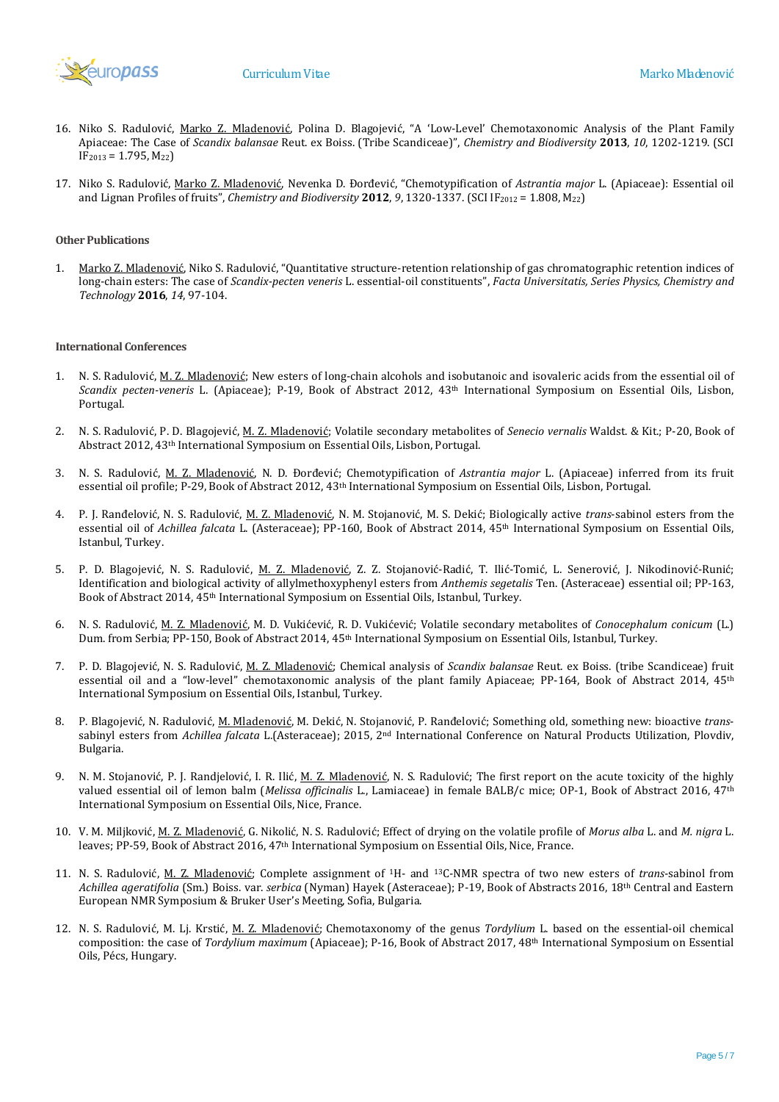

- 16. Niko S. Radulović, Marko Z. Mladenović, Polina D. Blagojević, "A 'Low-Level' Chemotaxonomic Analysis of the Plant Family Apiaceae: The Case of *Scandix balansae* Reut. ex Boiss. (Tribe Scandiceae)", *Chemistry and Biodiversity* **2013**, *10*, 1202-1219. (SCI  $IF<sub>2013</sub> = 1.795, M<sub>22</sub>$
- 17. Niko S. Radulović, Marko Z. Mladenović, Nevenka D. Đorđević, "Chemotypification of *Astrantia major* L. (Apiaceae): Essential oil and Lignan Profiles of fruits", *Chemistry and Biodiversity* **2012**, *9*, 1320-1337. (SCI IF<sup>2012</sup> = 1.808, M22)

## **Other Publications**

1. Marko Z. Mladenović, Niko S. Radulović, "Quantitative structure-retention relationship of gas chromatographic retention indices of long-chain esters: The case of *Scandix-pecten veneris* L. essential-oil constituents", *Facta Universitatis, Series Physics, Chemistry and Technology* **2016**, *14*, 97-104.

### **International Conferences**

- 1. N. S. Radulović, M. Z. Mladenović; New esters of long-chain alcohols and isobutanoic and isovaleric acids from the essential oil of *Scandix pecten-veneris* L. (Apiaceae); P-19, Book of Abstract 2012, 43th International Symposium on Essential Oils, Lisbon, Portugal.
- 2. N. S. Radulović, P. D. Blagojević, M. Z. Mladenović; Volatile secondary metabolites of *Senecio vernalis* Waldst. & Kit.; P-20, Book of Abstract 2012, 43th International Symposium on Essential Oils, Lisbon, Portugal.
- 3. N. S. Radulović, M. Z. Mladenović, N. D. Đorđević; Chemotypification of *Astrantia major* L. (Apiaceae) inferred from its fruit essential oil profile; P-29, Book of Abstract 2012, 43th International Symposium on Essential Oils, Lisbon, Portugal.
- 4. P. J. Ranđelović, N. S. Radulović, M. Z. Mladenović, N. M. Stojanović, M. S. Dekić; Biologically active *trans*-sabinol esters from the essential oil of *Achillea falcata* L. (Asteraceae); PP-160, Book of Abstract 2014, 45th International Symposium on Essential Oils, Istanbul, Turkey.
- 5. P. D. Blagojević, N. S. Radulović, M. Z. Mladenović, Z. Z. Stojanović-Radić, T. Ilić-Tomić, L. Senerović, J. Nikodinović-Runić; Identification and biological activity of allylmethoxyphenyl esters from *Anthemis segetalis* Ten. (Asteraceae) essential oil; PP-163, Book of Abstract 2014, 45th International Symposium on Essential Oils, Istanbul, Turkey.
- 6. N. S. Radulović, M. Z. Mladenović, M. D. Vukićević, R. D. Vukićević; Volatile secondary metabolites of *Conocephalum conicum* (L.) Dum. from Serbia; PP-150, Book of Abstract 2014, 45th International Symposium on Essential Oils, Istanbul, Turkey.
- 7. P. D. Blagojević, N. S. Radulović, M. Z. Mladenović; Chemical analysis of *Scandix balansae* Reut. ex Boiss. (tribe Scandiceae) fruit essential oil and a "low-level" chemotaxonomic analysis of the plant family Apiaceae; PP-164, Book of Abstract 2014, 45<sup>th</sup> International Symposium on Essential Oils, Istanbul, Turkey.
- 8. P. Blagojević, N. Radulović, M. Mladenović, M. Dekić, N. Stojanović, P. Ranđelović; Something old, something new: bioactive *trans*sabinyl esters from *Achillea falcata* L.(Asteraceae); 2015, 2nd International Conference on Natural Products Utilization, Plovdiv, Bulgaria.
- 9. N. M. Stojanović, P. J. Randjelović, I. R. Ilić, M. Z. Mladenović, N. S. Radulović; The first report on the acute toxicity of the highly valued essential oil of lemon balm (*Melissa officinalis* L., Lamiaceae) in female BALB/c mice; OP-1, Book of Abstract 2016, 47th International Symposium on Essential Oils, Nice, France.
- 10. V. M. Miljković, M. Z. Mladenović, G. Nikolić, N. S. Radulović; Effect of drying on the volatile profile of *Morus alba* L. and *M. nigra* L. leaves; PP-59, Book of Abstract 2016, 47th International Symposium on Essential Oils, Nice, France.
- 11. N. S. Radulović, M. Z. Mladenović; Complete assignment of <sup>1</sup>H- and <sup>13</sup>C-NMR spectra of two new esters of *trans*-sabinol from *Achillea ageratifolia* (Sm.) Boiss. var. *serbica* (Nyman) Hayek (Asteraceae); P-19, Book of Abstracts 2016, 18th Central and Eastern European NMR Symposium & Bruker User's Meeting, Sofia, Bulgaria.
- 12. N. S. Radulović, M. Lj. Krstić, M. Z. Mladenović; Chemotaxonomy of the genus *Tordylium* L. based on the essential-oil chemical composition: the case of *Tordylium maximum* (Apiaceae); P-16, Book of Abstract 2017, 48th International Symposium on Essential Oils, Pécs, Hungary.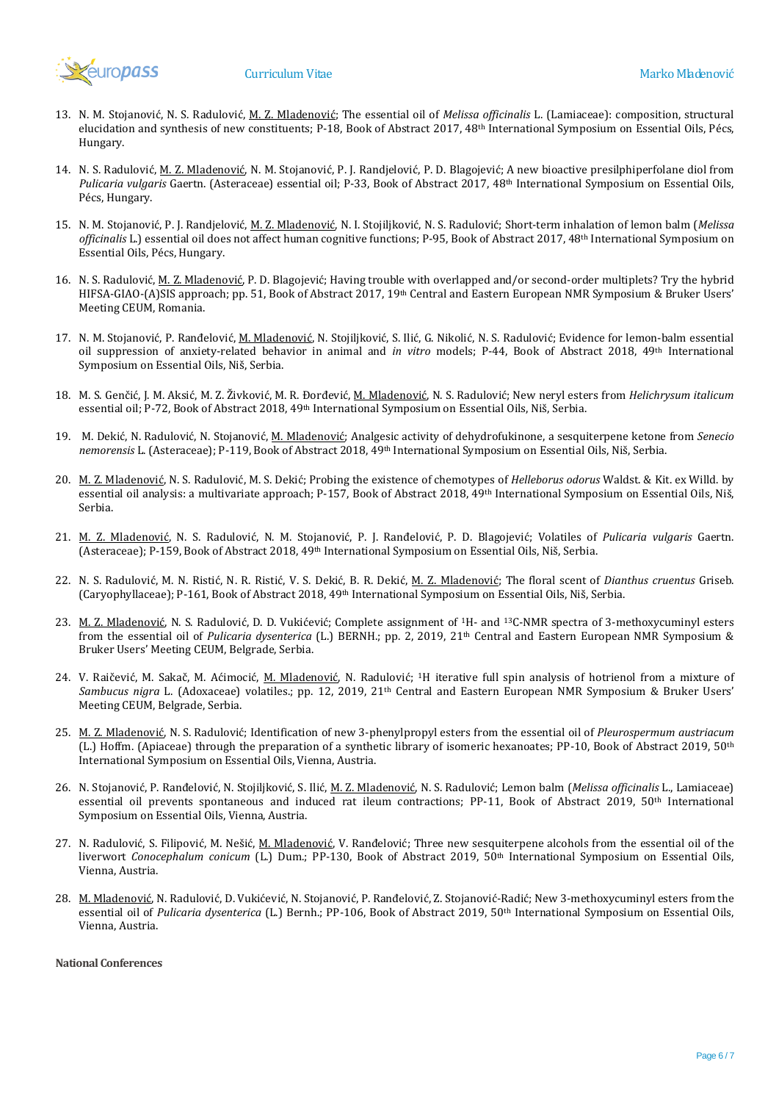

- 13. N. M. Stojanović, N. S. Radulović, M. Z. Mladenović; The essential oil of *Melissa officinalis* L. (Lamiaceae): composition, structural elucidation and synthesis of new constituents; P-18, Book of Abstract 2017, 48th International Symposium on Essential Oils, Pécs, Hungary.
- 14. N. S. Radulović, M. Z. Mladenović, N. M. Stojanović, P. J. Randjelović, P. D. Blagojević; A new bioactive presilphiperfolane diol from *Pulicaria vulgaris* Gaertn. (Asteraceae) essential oil; P-33, Book of Abstract 2017, 48th International Symposium on Essential Oils, Pécs, Hungary.
- 15. N. M. Stojanović, P. J. Randjelović, M. Z. Mladenović, N. I. Stojiljković, N. S. Radulović; Short-term inhalation of lemon balm (*Melissa officinalis* L.) essential oil does not affect human cognitive functions; P-95, Book of Abstract 2017, 48th International Symposium on Essential Oils, Pécs, Hungary.
- 16. N. S. Radulović, M. Z. Mladenović, P. D. Blagojević; Having trouble with overlapped and/or second-order multiplets? Try the hybrid HIFSA-GIAO-(A)SIS approach; pp. 51, Book of Abstract 2017, 19th Central and Eastern European NMR Symposium & Bruker Users' Meeting CEUM, Romania.
- 17. N. M. Stojanović, P. Ranđelović, M. Mladenović, N. Stojiljković, S. Ilić, G. Nikolić, N. S. Radulović; Evidence for lemon-balm essential oil suppression of anxiety-related behavior in animal and *in vitro* models; P-44, Book of Abstract 2018, 49th International Symposium on Essential Oils, Niš, Serbia.
- 18. M. S. Genčić, J. M. Aksić, M. Z. Živković, M. R. Đorđević, M. Mladenović, N. S. Radulović; New neryl esters from *Helichrysum italicum* essential oil; P-72, Book of Abstract 2018, 49th International Symposium on Essential Oils, Niš, Serbia.
- 19. M. Dekić, N. Radulović, N. Stojanović, M. Mladenović; Analgesic activity of dehydrofukinone, a sesquiterpene ketone from *Senecio nemorensis* L. (Asteraceae); P-119, Book of Abstract 2018, 49th International Symposium on Essential Oils, Niš, Serbia.
- 20. M. Z. Mladenović, N. S. Radulović, M. S. Dekić; Probing the existence of chemotypes of *Helleborus odorus* Waldst. & Kit. ex Willd. by essential oil analysis: a multivariate approach; P-157, Book of Abstract 2018, 49<sup>th</sup> International Symposium on Essential Oils, Niš, Serbia.
- 21. M. Z. Mladenović, N. S. Radulović, N. M. Stojanović, P. J. Ranđelović, P. D. Blagojević; Volatiles of *Pulicaria vulgaris* Gaertn. (Asteraceae); P-159, Book of Abstract 2018, 49th International Symposium on Essential Oils, Niš, Serbia.
- 22. N. S. Radulović, M. N. Ristić, N. R. Ristić, V. S. Dekić, B. R. Dekić, M. Z. Mladenović; The floral scent of *Dianthus cruentus* Griseb. (Caryophyllaceae); P-161, Book of Abstract 2018, 49th International Symposium on Essential Oils, Niš, Serbia.
- 23. M. Z. Mladenović, N. S. Radulović, D. D. Vukićević; Complete assignment of <sup>1</sup>H- and <sup>13</sup>C-NMR spectra of 3-methoxycuminyl esters from the essential oil of *Pulicaria dysenterica* (L.) BERNH.; pp. 2, 2019, 21th Central and Eastern European NMR Symposium & Bruker Users' Meeting CEUM, Belgrade, Serbia.
- 24. V. Raičević, M. Sakač, M. Aćimocić, M. Mladenović, N. Radulović; <sup>1</sup>H iterative full spin analysis of hotrienol from a mixture of *Sambucus nigra* L. (Adoxaceae) volatiles.; pp. 12, 2019, 21th Central and Eastern European NMR Symposium & Bruker Users' Meeting CEUM, Belgrade, Serbia.
- 25. M. Z. Mladenović, N. S. Radulović; Identification of new 3-phenylpropyl esters from the essential oil of *Pleurospermum austriacum* (L.) Hoffm. (Apiaceae) through the preparation of a synthetic library of isomeric hexanoates; PP-10, Book of Abstract 2019, 50<sup>th</sup> International Symposium on Essential Oils, Vienna, Austria.
- 26. N. Stojanović, P. Ranđelović, N. Stojiljković, S. Ilić, M. Z. Mladenović, N. S. Radulović; Lemon balm (*Melissa officinalis* L., Lamiaceae) essential oil prevents spontaneous and induced rat ileum contractions; PP-11, Book of Abstract 2019, 50<sup>th</sup> International Symposium on Essential Oils, Vienna, Austria.
- 27. N. Radulović, S. Filipović, M. Nešić, M. Mladenović, V. Ranđelović; Three new sesquiterpene alcohols from the essential oil of the liverwort *Conocephalum conicum* (L.) Dum.; PP-130, Book of Abstract 2019, 50<sup>th</sup> International Symposium on Essential Oils, Vienna, Austria.
- 28. M. Mladenović, N. Radulović, D. Vukićević, N. Stojanović, P. Ranđelović, Z. Stojanović-Radić; New 3-methoxycuminyl esters from the essential oil of *Pulicaria dysenterica* (L.) Bernh.; PP-106, Book of Abstract 2019, 50th International Symposium on Essential Oils, Vienna, Austria.

**National Conferences**